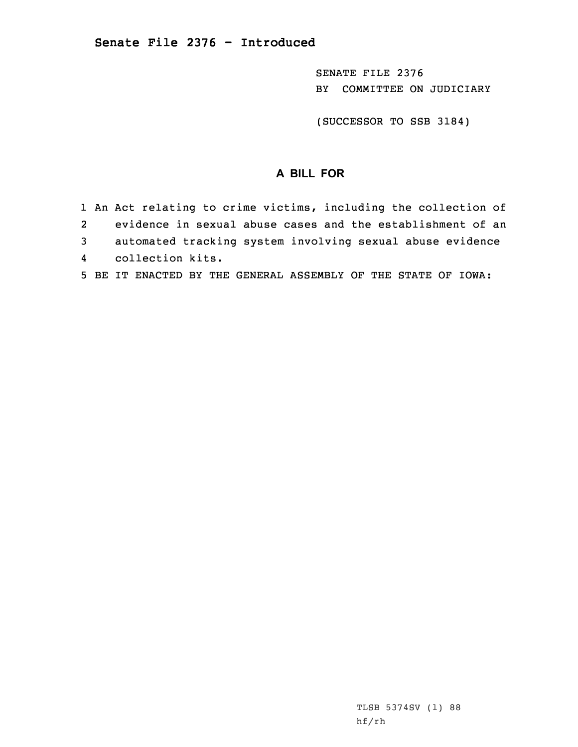SENATE FILE 2376 BY COMMITTEE ON JUDICIARY

(SUCCESSOR TO SSB 3184)

## **A BILL FOR**

|                | 1 An Act relating to crime victims, including the collection of |
|----------------|-----------------------------------------------------------------|
| 2              | evidence in sexual abuse cases and the establishment of an      |
| $\overline{3}$ | automated tracking system involving sexual abuse evidence       |
|                | 4 collection kits.                                              |
|                | 5 BE IT ENACTED BY THE GENERAL ASSEMBLY OF THE STATE OF IOWA:   |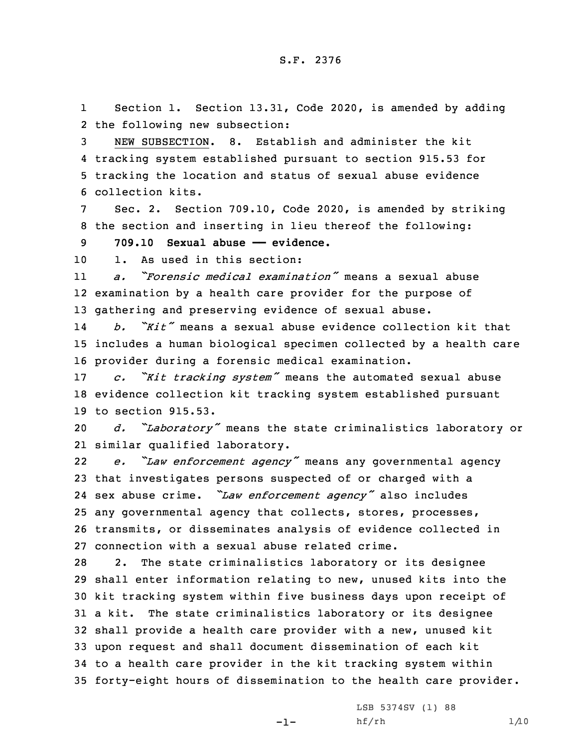1 Section 1. Section 13.31, Code 2020, is amended by adding 2 the following new subsection:

 NEW SUBSECTION. 8. Establish and administer the kit tracking system established pursuant to section 915.53 for tracking the location and status of sexual abuse evidence collection kits.

Sec. 2. Section 709.10, Code 2020, is amended by striking 8 the section and inserting in lieu thereof the following:

9 **709.10 Sexual abuse —— evidence.**

10 1. As used in this section:

11 *a. "Forensic medical examination"* means <sup>a</sup> sexual abuse 12 examination by <sup>a</sup> health care provider for the purpose of 13 gathering and preserving evidence of sexual abuse.

14 *b. "Kit"* means <sup>a</sup> sexual abuse evidence collection kit that 15 includes <sup>a</sup> human biological specimen collected by <sup>a</sup> health care 16 provider during <sup>a</sup> forensic medical examination.

<sup>17</sup> *c. "Kit tracking system"* means the automated sexual abuse 18 evidence collection kit tracking system established pursuant 19 to section 915.53.

<sup>20</sup> *d. "Laboratory"* means the state criminalistics laboratory or 21 similar qualified laboratory.

22 *e. "Law enforcement agency"* means any governmental agency that investigates persons suspected of or charged with <sup>a</sup> sex abuse crime. *"Law enforcement agency"* also includes any governmental agency that collects, stores, processes, transmits, or disseminates analysis of evidence collected in connection with <sup>a</sup> sexual abuse related crime.

 2. The state criminalistics laboratory or its designee shall enter information relating to new, unused kits into the kit tracking system within five business days upon receipt of <sup>a</sup> kit. The state criminalistics laboratory or its designee shall provide <sup>a</sup> health care provider with <sup>a</sup> new, unused kit upon request and shall document dissemination of each kit to <sup>a</sup> health care provider in the kit tracking system within forty-eight hours of dissemination to the health care provider.

-1-

LSB 5374SV (1) 88  $h f / rh$  1/10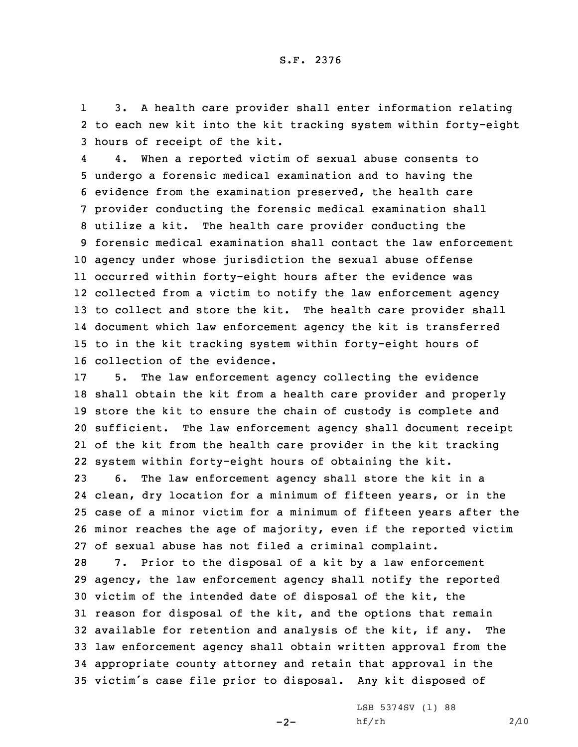1 3. <sup>A</sup> health care provider shall enter information relating 2 to each new kit into the kit tracking system within forty-eight 3 hours of receipt of the kit.

4 4. When <sup>a</sup> reported victim of sexual abuse consents to undergo <sup>a</sup> forensic medical examination and to having the evidence from the examination preserved, the health care provider conducting the forensic medical examination shall utilize <sup>a</sup> kit. The health care provider conducting the forensic medical examination shall contact the law enforcement agency under whose jurisdiction the sexual abuse offense occurred within forty-eight hours after the evidence was collected from <sup>a</sup> victim to notify the law enforcement agency to collect and store the kit. The health care provider shall document which law enforcement agency the kit is transferred to in the kit tracking system within forty-eight hours of collection of the evidence.

 5. The law enforcement agency collecting the evidence shall obtain the kit from <sup>a</sup> health care provider and properly store the kit to ensure the chain of custody is complete and sufficient. The law enforcement agency shall document receipt of the kit from the health care provider in the kit tracking system within forty-eight hours of obtaining the kit.

 6. The law enforcement agency shall store the kit in <sup>a</sup> clean, dry location for <sup>a</sup> minimum of fifteen years, or in the case of <sup>a</sup> minor victim for <sup>a</sup> minimum of fifteen years after the minor reaches the age of majority, even if the reported victim of sexual abuse has not filed <sup>a</sup> criminal complaint.

 7. Prior to the disposal of <sup>a</sup> kit by <sup>a</sup> law enforcement agency, the law enforcement agency shall notify the reported victim of the intended date of disposal of the kit, the reason for disposal of the kit, and the options that remain available for retention and analysis of the kit, if any. The law enforcement agency shall obtain written approval from the appropriate county attorney and retain that approval in the victim's case file prior to disposal. Any kit disposed of

 $-2-$ 

LSB 5374SV (1) 88  $hf/rh$  2/10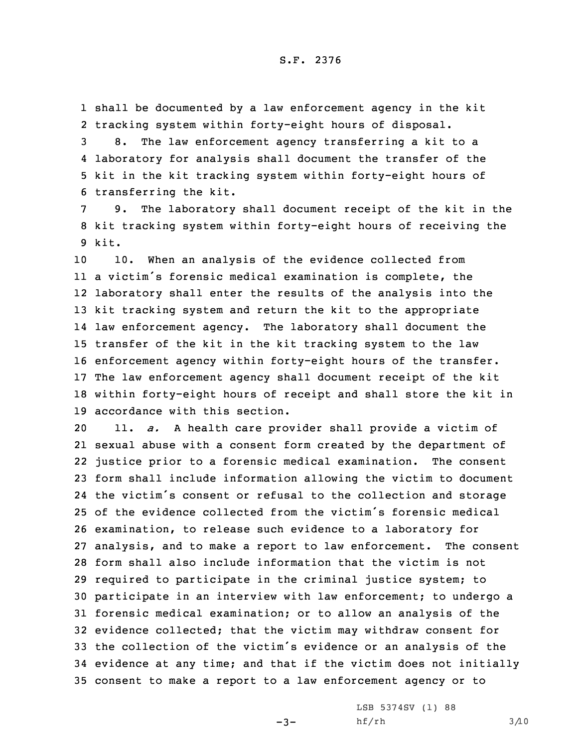1 shall be documented by <sup>a</sup> law enforcement agency in the kit 2 tracking system within forty-eight hours of disposal.

 8. The law enforcement agency transferring <sup>a</sup> kit to <sup>a</sup> laboratory for analysis shall document the transfer of the kit in the kit tracking system within forty-eight hours of transferring the kit.

7 9. The laboratory shall document receipt of the kit in the 8 kit tracking system within forty-eight hours of receiving the 9 kit.

 10. When an analysis of the evidence collected from <sup>a</sup> victim's forensic medical examination is complete, the laboratory shall enter the results of the analysis into the kit tracking system and return the kit to the appropriate law enforcement agency. The laboratory shall document the transfer of the kit in the kit tracking system to the law enforcement agency within forty-eight hours of the transfer. The law enforcement agency shall document receipt of the kit within forty-eight hours of receipt and shall store the kit in accordance with this section.

 11. *a.* <sup>A</sup> health care provider shall provide <sup>a</sup> victim of sexual abuse with <sup>a</sup> consent form created by the department of justice prior to <sup>a</sup> forensic medical examination. The consent form shall include information allowing the victim to document the victim's consent or refusal to the collection and storage of the evidence collected from the victim's forensic medical examination, to release such evidence to <sup>a</sup> laboratory for analysis, and to make <sup>a</sup> report to law enforcement. The consent form shall also include information that the victim is not required to participate in the criminal justice system; to participate in an interview with law enforcement; to undergo <sup>a</sup> forensic medical examination; or to allow an analysis of the evidence collected; that the victim may withdraw consent for the collection of the victim's evidence or an analysis of the evidence at any time; and that if the victim does not initially consent to make <sup>a</sup> report to <sup>a</sup> law enforcement agency or to

 $-3-$ 

LSB 5374SV (1) 88  $h f / rh$  3/10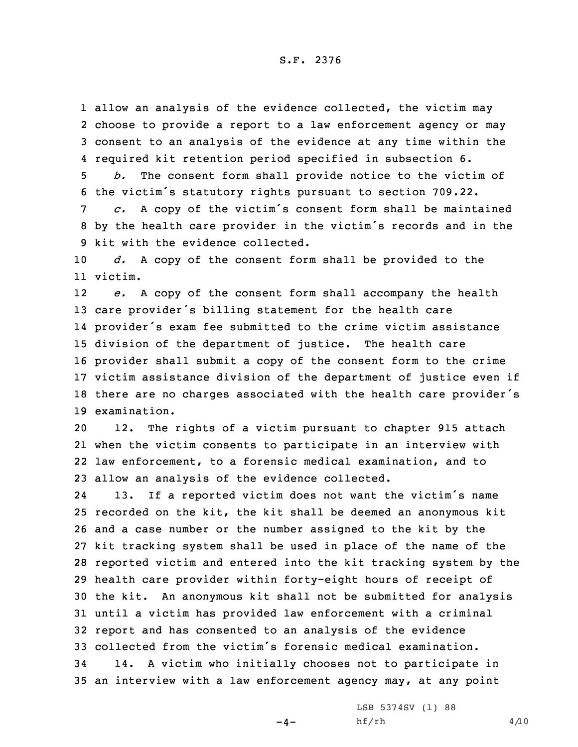S.F. 2376

1 allow an analysis of the evidence collected, the victim may choose to provide <sup>a</sup> report to <sup>a</sup> law enforcement agency or may consent to an analysis of the evidence at any time within the required kit retention period specified in subsection 6.

5 *b.* The consent form shall provide notice to the victim of <sup>6</sup> the victim's statutory rights pursuant to section 709.22.

<sup>7</sup> *c.* <sup>A</sup> copy of the victim's consent form shall be maintained <sup>8</sup> by the health care provider in the victim's records and in the 9 kit with the evidence collected.

10 *d.* <sup>A</sup> copy of the consent form shall be provided to the 11 victim.

12 *e.* A copy of the consent form shall accompany the health care provider's billing statement for the health care provider's exam fee submitted to the crime victim assistance division of the department of justice. The health care provider shall submit <sup>a</sup> copy of the consent form to the crime victim assistance division of the department of justice even if there are no charges associated with the health care provider's examination.

 12. The rights of <sup>a</sup> victim pursuant to chapter 915 attach when the victim consents to participate in an interview with law enforcement, to <sup>a</sup> forensic medical examination, and to allow an analysis of the evidence collected.

24 13. If <sup>a</sup> reported victim does not want the victim's name recorded on the kit, the kit shall be deemed an anonymous kit and <sup>a</sup> case number or the number assigned to the kit by the kit tracking system shall be used in place of the name of the reported victim and entered into the kit tracking system by the health care provider within forty-eight hours of receipt of the kit. An anonymous kit shall not be submitted for analysis until <sup>a</sup> victim has provided law enforcement with <sup>a</sup> criminal report and has consented to an analysis of the evidence collected from the victim's forensic medical examination. 14. <sup>A</sup> victim who initially chooses not to participate in an interview with <sup>a</sup> law enforcement agency may, at any point

 $-4-$ 

LSB 5374SV (1) 88  $h f / rh$  4/10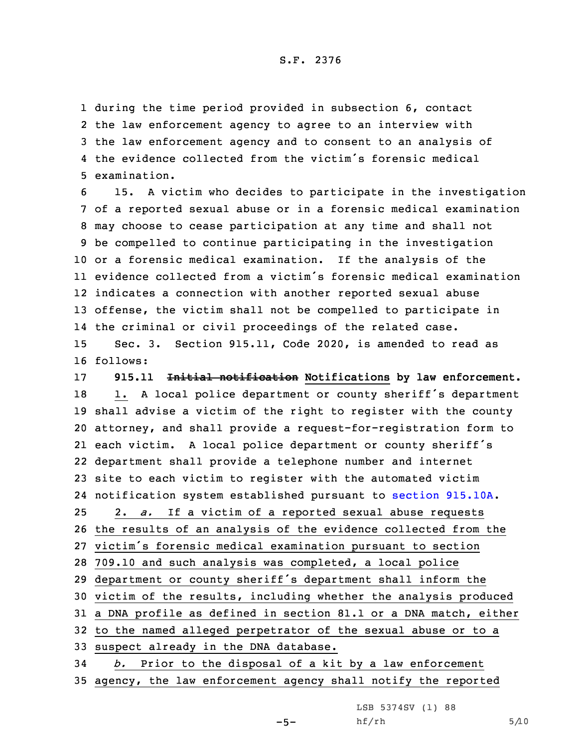## S.F. 2376

 during the time period provided in subsection 6, contact the law enforcement agency to agree to an interview with the law enforcement agency and to consent to an analysis of the evidence collected from the victim's forensic medical examination.

 15. <sup>A</sup> victim who decides to participate in the investigation of <sup>a</sup> reported sexual abuse or in <sup>a</sup> forensic medical examination may choose to cease participation at any time and shall not be compelled to continue participating in the investigation or <sup>a</sup> forensic medical examination. If the analysis of the evidence collected from <sup>a</sup> victim's forensic medical examination indicates <sup>a</sup> connection with another reported sexual abuse offense, the victim shall not be compelled to participate in the criminal or civil proceedings of the related case. Sec. 3. Section 915.11, Code 2020, is amended to read as 16 follows:

 **915.11 Initial notification Notifications by law enforcement.** 18 1. A local police department or county sheriff's department shall advise <sup>a</sup> victim of the right to register with the county attorney, and shall provide <sup>a</sup> request-for-registration form to each victim. <sup>A</sup> local police department or county sheriff's department shall provide <sup>a</sup> telephone number and internet site to each victim to register with the automated victim notification system established pursuant to section [915.10A](https://www.legis.iowa.gov/docs/code/2020/915.10A.pdf). 2. *a.* If <sup>a</sup> victim of <sup>a</sup> reported sexual abuse requests the results of an analysis of the evidence collected from the victim's forensic medical examination pursuant to section 709.10 and such analysis was completed, <sup>a</sup> local police department or county sheriff's department shall inform the victim of the results, including whether the analysis produced <sup>a</sup> DNA profile as defined in section 81.1 or <sup>a</sup> DNA match, either to the named alleged perpetrator of the sexual abuse or to <sup>a</sup> suspect already in the DNA database. *b.* Prior to the disposal of <sup>a</sup> kit by <sup>a</sup> law enforcement

35 agency, the law enforcement agency shall notify the reported

 $-5-$ 

LSB 5374SV (1) 88  $h f / rh$  5/10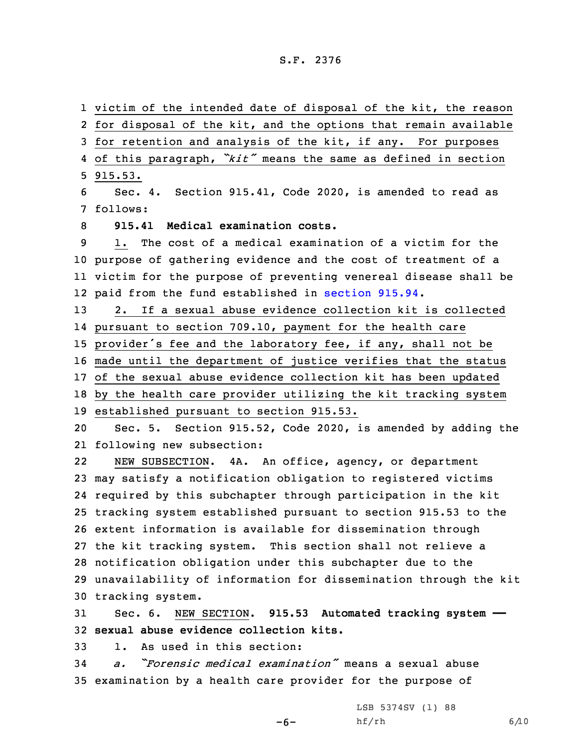## S.F. 2376

 victim of the intended date of disposal of the kit, the reason for disposal of the kit, and the options that remain available for retention and analysis of the kit, if any. For purposes of this paragraph, *"kit"* means the same as defined in section 5 915.53. Sec. 4. Section 915.41, Code 2020, is amended to read as 7 follows: **915.41 Medical examination costs.** 1. The cost of <sup>a</sup> medical examination of <sup>a</sup> victim for the purpose of gathering evidence and the cost of treatment of <sup>a</sup> victim for the purpose of preventing venereal disease shall be paid from the fund established in [section](https://www.legis.iowa.gov/docs/code/2020/915.94.pdf) 915.94. 2. If <sup>a</sup> sexual abuse evidence collection kit is collected pursuant to section 709.10, payment for the health care provider's fee and the laboratory fee, if any, shall not be made until the department of justice verifies that the status of the sexual abuse evidence collection kit has been updated by the health care provider utilizing the kit tracking system established pursuant to section 915.53. Sec. 5. Section 915.52, Code 2020, is amended by adding the following new subsection: 22 NEW SUBSECTION. 4A. An office, agency, or department may satisfy <sup>a</sup> notification obligation to registered victims required by this subchapter through participation in the kit tracking system established pursuant to section 915.53 to the extent information is available for dissemination through the kit tracking system. This section shall not relieve <sup>a</sup> notification obligation under this subchapter due to the unavailability of information for dissemination through the kit tracking system.

31 Sec. 6. NEW SECTION. **915.53 Automated tracking system ——** 32 **sexual abuse evidence collection kits.**

-6-

33 1. As used in this section:

34 *a. "Forensic medical examination"* means <sup>a</sup> sexual abuse 35 examination by <sup>a</sup> health care provider for the purpose of

> LSB 5374SV (1) 88  $h f / rh$  6/10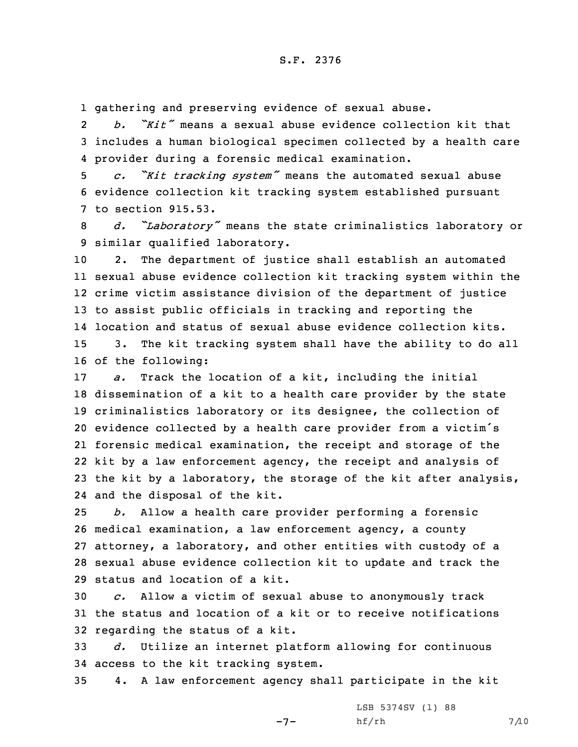1 gathering and preserving evidence of sexual abuse.

2 *b. "Kit"* means <sup>a</sup> sexual abuse evidence collection kit that 3 includes <sup>a</sup> human biological specimen collected by <sup>a</sup> health care 4 provider during <sup>a</sup> forensic medical examination.

<sup>5</sup> *c. "Kit tracking system"* means the automated sexual abuse 6 evidence collection kit tracking system established pursuant 7 to section 915.53.

<sup>8</sup> *d. "Laboratory"* means the state criminalistics laboratory or 9 similar qualified laboratory.

 2. The department of justice shall establish an automated sexual abuse evidence collection kit tracking system within the crime victim assistance division of the department of justice to assist public officials in tracking and reporting the location and status of sexual abuse evidence collection kits. 3. The kit tracking system shall have the ability to do all of the following:

 *a.* Track the location of <sup>a</sup> kit, including the initial dissemination of <sup>a</sup> kit to <sup>a</sup> health care provider by the state criminalistics laboratory or its designee, the collection of evidence collected by <sup>a</sup> health care provider from <sup>a</sup> victim's forensic medical examination, the receipt and storage of the kit by <sup>a</sup> law enforcement agency, the receipt and analysis of the kit by <sup>a</sup> laboratory, the storage of the kit after analysis, and the disposal of the kit.

 *b.* Allow <sup>a</sup> health care provider performing <sup>a</sup> forensic medical examination, <sup>a</sup> law enforcement agency, <sup>a</sup> county attorney, <sup>a</sup> laboratory, and other entities with custody of <sup>a</sup> sexual abuse evidence collection kit to update and track the status and location of a kit.

30 *c.* Allow <sup>a</sup> victim of sexual abuse to anonymously track 31 the status and location of <sup>a</sup> kit or to receive notifications 32 regarding the status of <sup>a</sup> kit.

33 *d.* Utilize an internet platform allowing for continuous 34 access to the kit tracking system.

35 4. <sup>A</sup> law enforcement agency shall participate in the kit

 $-7-$ 

LSB 5374SV (1) 88 hf/rh 7/10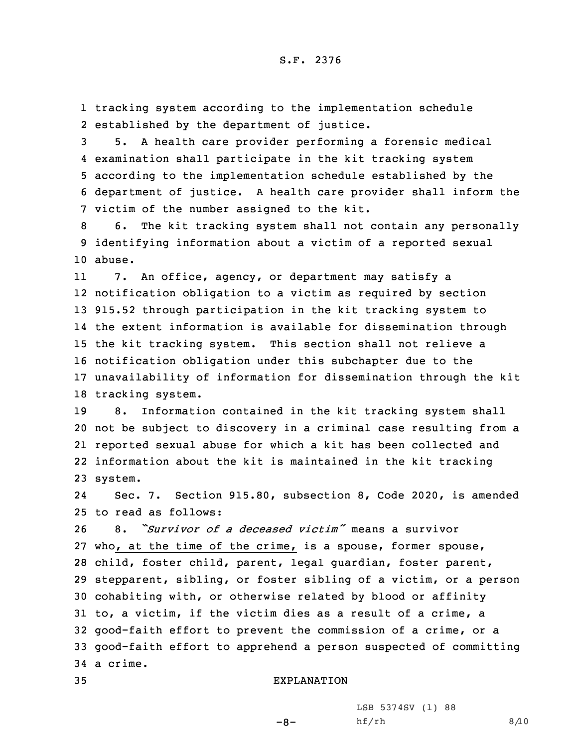1 tracking system according to the implementation schedule 2 established by the department of justice.

 5. <sup>A</sup> health care provider performing <sup>a</sup> forensic medical examination shall participate in the kit tracking system according to the implementation schedule established by the department of justice. <sup>A</sup> health care provider shall inform the victim of the number assigned to the kit.

8 6. The kit tracking system shall not contain any personally 9 identifying information about <sup>a</sup> victim of <sup>a</sup> reported sexual 10 abuse.

11 7. An office, agency, or department may satisfy <sup>a</sup> notification obligation to <sup>a</sup> victim as required by section 915.52 through participation in the kit tracking system to the extent information is available for dissemination through the kit tracking system. This section shall not relieve <sup>a</sup> notification obligation under this subchapter due to the unavailability of information for dissemination through the kit tracking system.

 8. Information contained in the kit tracking system shall not be subject to discovery in <sup>a</sup> criminal case resulting from <sup>a</sup> reported sexual abuse for which <sup>a</sup> kit has been collected and information about the kit is maintained in the kit tracking 23 system.

24 Sec. 7. Section 915.80, subsection 8, Code 2020, is amended 25 to read as follows:

 8. *"Survivor of <sup>a</sup> deceased victim"* means <sup>a</sup> survivor who, at the time of the crime, is <sup>a</sup> spouse, former spouse, child, foster child, parent, legal guardian, foster parent, stepparent, sibling, or foster sibling of <sup>a</sup> victim, or <sup>a</sup> person cohabiting with, or otherwise related by blood or affinity to, <sup>a</sup> victim, if the victim dies as <sup>a</sup> result of <sup>a</sup> crime, <sup>a</sup> good-faith effort to prevent the commission of <sup>a</sup> crime, or <sup>a</sup> good-faith effort to apprehend <sup>a</sup> person suspected of committing 34 <sup>a</sup> crime.

## 35 EXPLANATION

 $-8-$ 

LSB 5374SV (1) 88  $hf/rh$  8/10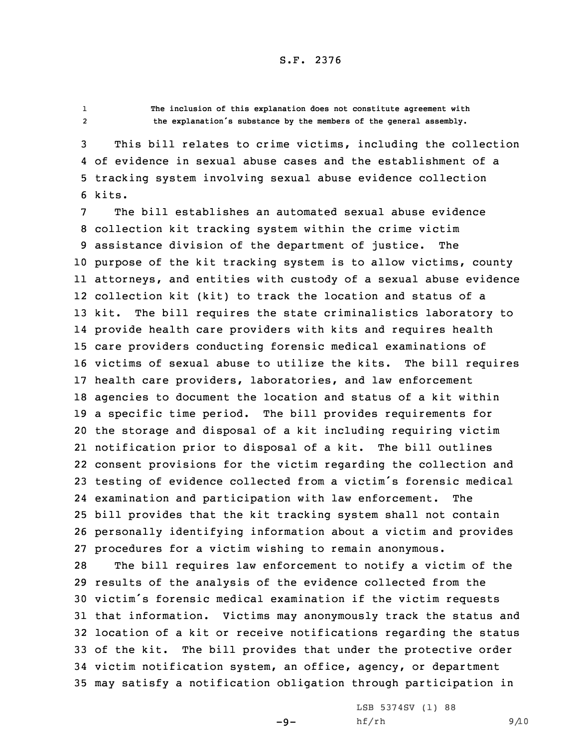12

 **The inclusion of this explanation does not constitute agreement with the explanation's substance by the members of the general assembly.**

 This bill relates to crime victims, including the collection of evidence in sexual abuse cases and the establishment of <sup>a</sup> tracking system involving sexual abuse evidence collection 6 kits.

 The bill establishes an automated sexual abuse evidence collection kit tracking system within the crime victim assistance division of the department of justice. The purpose of the kit tracking system is to allow victims, county attorneys, and entities with custody of <sup>a</sup> sexual abuse evidence collection kit (kit) to track the location and status of <sup>a</sup> kit. The bill requires the state criminalistics laboratory to provide health care providers with kits and requires health care providers conducting forensic medical examinations of victims of sexual abuse to utilize the kits. The bill requires health care providers, laboratories, and law enforcement agencies to document the location and status of <sup>a</sup> kit within <sup>a</sup> specific time period. The bill provides requirements for the storage and disposal of <sup>a</sup> kit including requiring victim notification prior to disposal of <sup>a</sup> kit. The bill outlines consent provisions for the victim regarding the collection and testing of evidence collected from <sup>a</sup> victim's forensic medical examination and participation with law enforcement. The bill provides that the kit tracking system shall not contain personally identifying information about <sup>a</sup> victim and provides procedures for <sup>a</sup> victim wishing to remain anonymous.

 The bill requires law enforcement to notify <sup>a</sup> victim of the results of the analysis of the evidence collected from the victim's forensic medical examination if the victim requests that information. Victims may anonymously track the status and location of <sup>a</sup> kit or receive notifications regarding the status of the kit. The bill provides that under the protective order victim notification system, an office, agency, or department may satisfy <sup>a</sup> notification obligation through participation in

 $-9-$ 

LSB 5374SV (1) 88 hf/rh 9/10